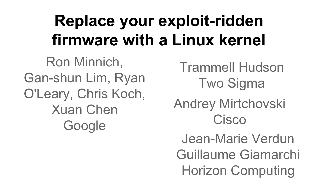### **Replace your exploit-ridden firmware with a Linux kernel**

Ron Minnich, Gan-shun Lim, Ryan O'Leary, Chris Koch, Xuan Chen **Google** 

Andrey Mirtchovski **Cisco** Trammell Hudson Two Sigma Jean-Marie Verdun Guillaume Giamarchi Horizon Computing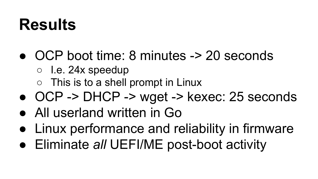### **Results**

- OCP boot time: 8 minutes -> 20 seconds
	- $\circ$  I.e. 24x speedup
	- $\circ$  This is to a shell prompt in Linux
- OCP -> DHCP -> wget -> kexec: 25 seconds
- All userland written in Go
- Linux performance and reliability in firmware
- Eliminate *all* UEFI/ME post-boot activity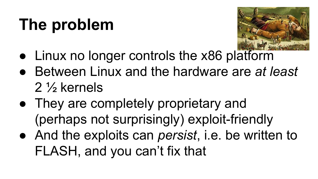## **The problem**



- Linux no longer controls the x86 platform
- Between Linux and the hardware are *at least*  2 ½ kernels
- They are completely proprietary and (perhaps not surprisingly) exploit-friendly
- And the exploits can *persist*, i.e. be written to FLASH, and you can't fix that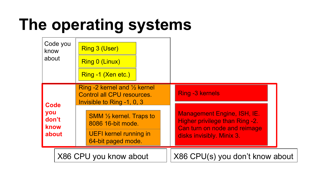# **The operating systems**

| know<br>about        | Code you               |                                                                                                            | Ring 3 (User)<br>Ring 0 (Linux)<br>Ring -1 (Xen etc.) |  |  |                                                                                                      |  |  |
|----------------------|------------------------|------------------------------------------------------------------------------------------------------------|-------------------------------------------------------|--|--|------------------------------------------------------------------------------------------------------|--|--|
| <b>Code</b>          |                        | Ring -2 kernel and $\frac{1}{2}$ kernel<br><b>Control all CPU resources.</b><br>Invisible to Ring -1, 0, 3 |                                                       |  |  | <b>Ring -3 kernels</b>                                                                               |  |  |
| you<br>don't<br>know |                        |                                                                                                            | <b>SMM 1/2 kernel. Traps to</b><br>8086 16-bit mode.  |  |  | <b>Management Engine, ISH, IE.</b><br>Higher privilege than Ring -2.<br>Can turn on node and reimage |  |  |
| about                |                        | <b>UEFI kernel running in</b><br>64-bit paged mode.                                                        |                                                       |  |  | disks invisibly. Minix 3.                                                                            |  |  |
|                      | X86 CPU you know about |                                                                                                            | X86 CPU(s) you don't know about                       |  |  |                                                                                                      |  |  |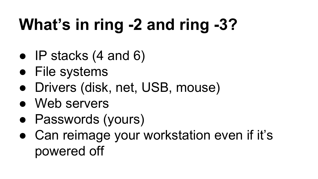# **What's in ring -2 and ring -3?**

- $\bullet$  IP stacks (4 and 6)
- File systems
- Drivers (disk, net, USB, mouse)
- Web servers
- Passwords (yours)
- Can reimage your workstation even if it's powered off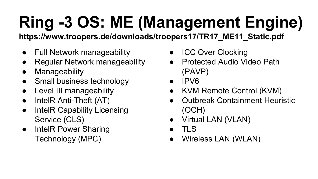# **Ring -3 OS: ME (Management Engine)**

**https://www.troopers.de/downloads/troopers17/TR17\_ME11\_Static.pdf**

- Full Network manageability
- **Regular Network manageability**
- Manageability
- Small business technology
- Level III manageability
- IntelR Anti-Theft (AT)
- IntelR Capability Licensing Service (CLS)
- IntelR Power Sharing Technology (MPC)
- ICC Over Clocking
- **Protected Audio Video Path** (PAVP)
- IPV6
- KVM Remote Control (KVM)
- **Outbreak Containment Heuristic** (OCH)
- Virtual LAN (VLAN)
- TLS
- Wireless LAN (WLAN)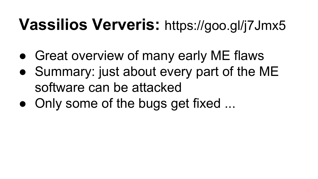### **Vassilios Ververis:** https://goo.gl/j7Jmx5

- Great overview of many early ME flaws
- Summary: just about every part of the ME software can be attacked
- Only some of the bugs get fixed ...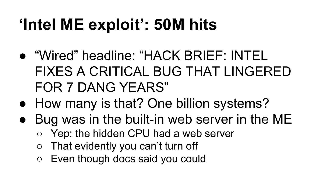# **'Intel ME exploit': 50M hits**

- "Wired" headline: "HACK BRIEF: INTEL FIXES A CRITICAL BUG THAT LINGERED FOR 7 DANG YEARS"
- How many is that? One billion systems?
- Bug was in the built-in web server in the ME
	- Yep: the hidden CPU had a web server
	- That evidently you can't turn off
	- Even though docs said you could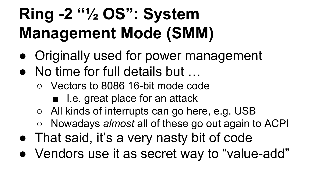# **Ring -2 "½ OS": System Management Mode (SMM)**

- Originally used for power management
- No time for full details but ...
	- Vectors to 8086 16-bit mode code
		- I.e. great place for an attack
	- All kinds of interrupts can go here, e.g. USB
	- Nowadays *almost* all of these go out again to ACPI
- That said, it's a very nasty bit of code
- Vendors use it as secret way to "value-add"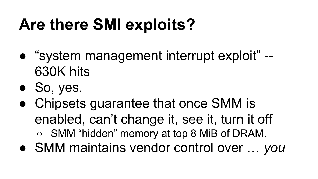# **Are there SMI exploits?**

- "system management interrupt exploit" --630K hits
- So, yes.
- Chipsets guarantee that once SMM is enabled, can't change it, see it, turn it off
	- SMM "hidden" memory at top 8 MiB of DRAM.
- SMM maintains vendor control over … *you*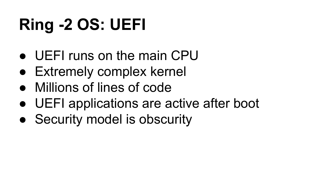# **Ring -2 OS: UEFI**

- UFFI runs on the main CPU
- Extremely complex kernel
- Millions of lines of code
- UEFI applications are active after boot
- Security model is obscurity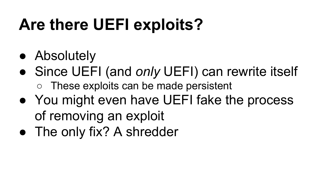### **Are there UEFI exploits?**

- Absolutely
- Since UEFI (and *only* UEFI) can rewrite itself ○ These exploits can be made persistent
- You might even have UEFI fake the process of removing an exploit
- The only fix? A shredder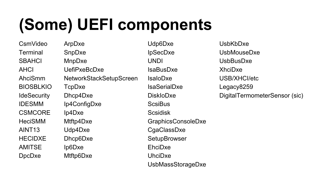## **(Some) UEFI components**

CsmVideo **Terminal SBAHCI** AHCI AhciSmm BIOSBLKIO **IdeSecurity** IDESMM **CSMCORE** HeciSMM AINT13 HECIDXE AMITSE DpcDxe

ArpDxe SnpDxe MnpDxe UefiPxeBcDxe NetworkStackSetupScreen TcpDxe Dhcp4Dxe Ip4ConfigDxe Ip4Dxe Mtftp4Dxe Udp4Dxe Dhcp6Dxe Ip6Dxe Mtftp6Dxe

Udp6Dxe IpSecDxe UNDI IsaBusDxe IsaIoDxe IsaSerialDxe DiskIoDxe **ScsiBus Scsidisk** GraphicsConsoleDxe CgaClassDxe **SetupBrowser** EhciDxe UhciDxe UsbMassStorageDxe

UsbKbDxe UsbMouseDxe UsbBusDxe XhciDxe USB/XHCI/etc Legacy8259 DigitalTermometerSensor (sic)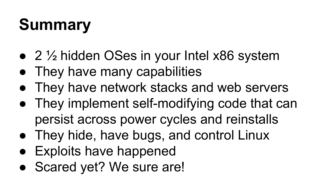# **Summary**

- $\bullet$  2  $\frac{1}{2}$  hidden OSes in your Intel x86 system
- They have many capabilities
- They have network stacks and web servers
- They implement self-modifying code that can persist across power cycles and reinstalls
- They hide, have bugs, and control Linux
- Exploits have happened
- Scared yet? We sure are!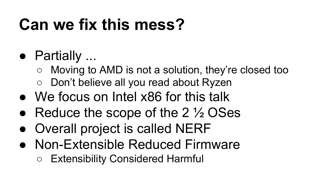## **Can we fix this mess?**

- Partially ...
	- Moving to AMD is not a solution, they're closed too
	- Don't believe all you read about Ryzen
- We focus on Intel x86 for this talk
- Reduce the scope of the  $2\frac{1}{2}$  OSes
- Overall project is called NERF
- Non-Extensible Reduced Firmware
	- Extensibility Considered Harmful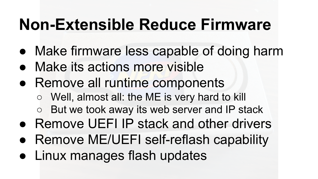### **Non-Extensible Reduce Firmware**

- Make firmware less capable of doing harm
- Make its actions more visible
- Remove all runtime components
	- Well, almost all: the ME is very hard to kill
	- But we took away its web server and IP stack
- Remove UEFI IP stack and other drivers
- Remove ME/UEFI self-reflash capability
- Linux manages flash updates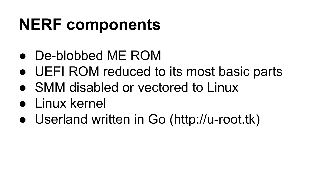### **NERF components**

- De-blobbed ME ROM
- UEFI ROM reduced to its most basic parts
- SMM disabled or vectored to Linux
- Linux kernel
- Userland written in Go (http://u-root.tk)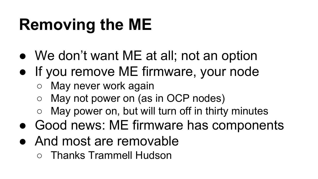## **Removing the ME**

- We don't want ME at all; not an option
- If you remove ME firmware, your node
	- May never work again
	- May not power on (as in OCP nodes)
	- May power on, but will turn off in thirty minutes
- Good news: ME firmware has components
- And most are removable
	- Thanks Trammell Hudson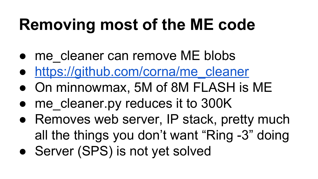## **Removing most of the ME code**

- me cleaner can remove ME blobs
- [https://github.com/corna/me\\_cleaner](https://github.com/corna/me_cleaner)
- On minnowmax, 5M of 8M FLASH is ME
- me\_cleaner.py reduces it to 300K
- Removes web server, IP stack, pretty much all the things you don't want "Ring -3" doing
- Server (SPS) is not yet solved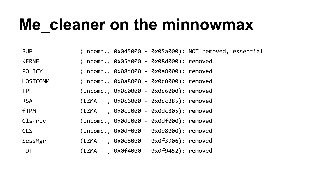### **Me\_cleaner on the minnowmax**

| <b>BUP</b>      |  | (Uncomp., 0x045000 - 0x05a000): NOT removed, essential |  |  |
|-----------------|--|--------------------------------------------------------|--|--|
| <b>KERNEL</b>   |  | (Uncomp., 0x05a000 - 0x08d000): removed                |  |  |
| <b>POLICY</b>   |  | (Uncomp., 0x08d000 - 0x0a8000): removed                |  |  |
| <b>HOSTCOMM</b> |  | (Uncomp., 0x0a8000 - 0x0c0000): removed                |  |  |
| <b>FPF</b>      |  | (Uncomp., 0x0c0000 - 0x0c6000): removed                |  |  |
| <b>RSA</b>      |  | (LZMA , 0x0c6000 - 0x0cc385): removed                  |  |  |
| <b>fTPM</b>     |  | $(LZMA$ , $0x0cd000 - 0x0dc305)$ : removed             |  |  |
| ClsPriv         |  | (Uncomp., 0x0dd000 - 0x0df000): removed                |  |  |
| <b>CLS</b>      |  | (Uncomp., 0x0df000 - 0x0e8000): removed                |  |  |
| SessMgr         |  | (LZMA, 0x0e8000 - 0x0f3906): removed                   |  |  |
| TDT             |  | (LZMA , 0x0f4000 - 0x0f9452): removed                  |  |  |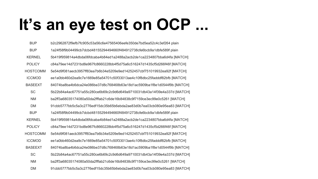### **It's an eye test on OCP ...**

| <b>BUP</b>      | b2c2962872f9efb7fc905c53a56c6e47565406eefe350de7bd5ea52c4c3ef264 plain   |
|-----------------|--------------------------------------------------------------------------|
| <b>BUP</b>      | 1a24f58f9b04499cb7dcbd48155294494660f484912738cfe6bcb9a1dbfe589f plain   |
| <b>KERNEL</b>   | 5b419f959814a4dbda06fdcaba4b84ed1a2488a2acb2de1ca2234807bba6d4fa [MATCH] |
| <b>POLICY</b>   | c84a79ee14d7231bd8e967fc8660228bb4f5d75a6c516247d1435cf5d266f46f [MATCH] |
| <b>HOSTCOMM</b> | 5e54d9f081aecb3957ff83ea7b6b34e5209e9ed14252457cbf751019932ea92f [MATCH] |
| <b>ICCMOD</b>   | ee1a0bb460d2ea9c7e1669e85a54701c50f33013ae4c10f8dbc25fadddf82bfb [MATCH] |
| <b>BASEEXT</b>  | 84074ba8ba4b6dca24e086be37d8c768468b63e18d1ac5909ba1f8e1d0544f9b [MATCH] |
| <b>SC</b>       | 5b22b84a4ac67751a55c280ce6b69c2c9d6d649a9710031db43a14f39e4a337d [MATCH] |
| <b>NM</b>       | ba2ff3a68035174080a50da2fffab21c6de16b84838c9f7159ce3ec99e0c5261 [MATCH] |
| <b>DM</b>       | 91cbb5777bb5c5a3c2776edf15dc35b65b6ebda2ae83d0b7ea03cb080e95ea83 [MATCH] |
| <b>BUP</b>      | 1a24f58f9b04499cb7dcbd48155294494660f484912738cfe6bcb9a1dbfe589f plain   |
| <b>KERNEL</b>   | 5b419f959814a4dbda06fdcaba4b84ed1a2488a2acb2de1ca2234807bba6d4fa [MATCH] |
| <b>POLICY</b>   | c84a79ee14d7231bd8e967fc8660228bb4f5d75a6c516247d1435cf5d266f46f [MATCH] |
| <b>HOSTCOMM</b> | 5e54d9f081aecb3957ff83ea7b6b34e5209e9ed14252457cbf751019932ea92f [MATCH] |
| <b>ICCMOD</b>   | ee1a0bb460d2ea9c7e1669e85a54701c50f33013ae4c10f8dbc25fadddf82bfb [MATCH] |
| <b>BASEEXT</b>  | 84074ba8ba4b6dca24e086be37d8c768468b63e18d1ac5909ba1f8e1d0544f9b [MATCH] |
| <b>SC</b>       | 5b22b84a4ac67751a55c280ce6b69c2c9d6d649a9710031db43a14f39e4a337d [MATCH] |
| <b>NM</b>       | ba2ff3a68035174080a50da2fffab21c6de16b84838c9f7159ce3ec99e0c5261 [MATCH] |
| <b>DM</b>       | 91cbb5777bb5c5a3c2776edf15dc35b65b6ebda2ae83d0b7ea03cb080e95ea83 [MATCH] |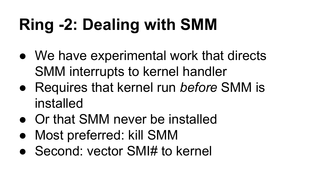# **Ring -2: Dealing with SMM**

- We have experimental work that directs SMM interrupts to kernel handler
- Requires that kernel run *before* SMM is installed
- Or that SMM never be installed
- Most preferred: kill SMM
- Second: vector SMI# to kernel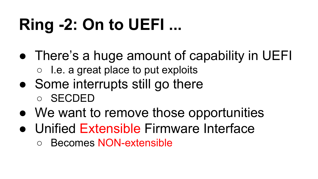# **Ring -2: On to UEFI ...**

- There's a huge amount of capability in UEFI
	- I.e. a great place to put exploits
- Some interrupts still go there
	- SECDED
- We want to remove those opportunities
- Unified Extensible Firmware Interface
	- Becomes NON-extensible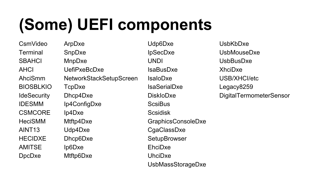## **(Some) UEFI components**

CsmVideo **Terminal SBAHCI** AHCI AhciSmm BIOSBLKIO **IdeSecurity** IDESMM **CSMCORE** HeciSMM AINT13 HECIDXE AMITSE DpcDxe

ArpDxe SnpDxe MnpDxe UefiPxeBcDxe NetworkStackSetupScreen TcpDxe Dhcp4Dxe Ip4ConfigDxe Ip4Dxe Mtftp4Dxe Udp4Dxe Dhcp6Dxe Ip6Dxe Mtftp6Dxe

Udp6Dxe IpSecDxe UNDI IsaBusDxe IsaIoDxe IsaSerialDxe DiskIoDxe **ScsiBus Scsidisk** GraphicsConsoleDxe CgaClassDxe **SetupBrowser** EhciDxe UhciDxe UsbMassStorageDxe

UsbKbDxe UsbMouseDxe UsbBusDxe XhciDxe USB/XHCI/etc Legacy8259 DigitalTermometerSensor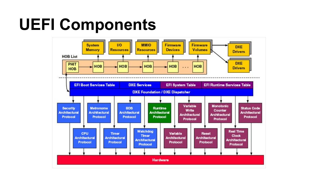### **UEFI Components**

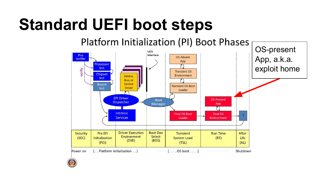### **Standard UEFI boot steps**

Platform Initialization (PI) Boot Phases OS-present **UEFI** Interface Pre App, a.k.a. OS-Absent Verifier App Processor exploit homeInit verify **Transient OS** Chipset Environment Device, Init Bus, or **Board** Service **Transient OS Boot Driver** Init Loader **EFI Driver OS-Present Boot Dispatcher** Manager App **Intrinsic Final OS Boot Final OS Services** Loader Environment **Driver Execution Boot Dev** Security Pre EFI **Transient Run Time** After Environment Select  $(SEC)$ Initialization **System Load**  $(RT)$ Life  $(DXE)$ (BDS)  $(PEI)$  $(TSL)$  $(AL)$ [.. Platform initialization .. ]  $[... 0S$  boot  $... 1$ Shutdown Power on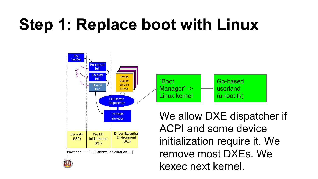### **Step 1: Replace boot with Linux**



remove most DXEs. We kexec next kernel.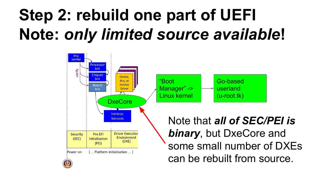## **Step 2: rebuild one part of UEFI Note:** *only limited source available***!**

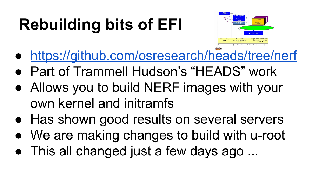# **Rebuilding bits of EFI**



- <https://github.com/osresearch/heads/tree/nerf>
- Part of Trammell Hudson's "HEADS" work
- Allows you to build NERF images with your own kernel and initramfs
- Has shown good results on several servers
- We are making changes to build with u-root
- This all changed just a few days ago ...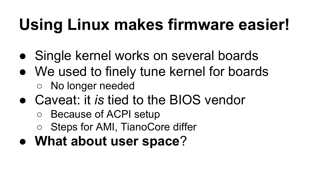# **Using Linux makes firmware easier!**

- Single kernel works on several boards
- We used to finely tune kernel for boards ○ No longer needed
- Caveat: it *is* tied to the BIOS vendor
	- Because of ACPI setup
	- Steps for AMI, TianoCore differ
- **What about user space**?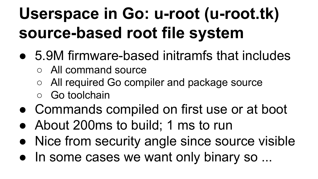## **Userspace in Go: u-root (u-root.tk) source-based root file system**

- 5.9M firmware-based initramfs that includes
	- All command source
	- All required Go compiler and package source
	- Go toolchain
- Commands compiled on first use or at boot
- About 200ms to build; 1 ms to run
- Nice from security angle since source visible
- In some cases we want only binary so ...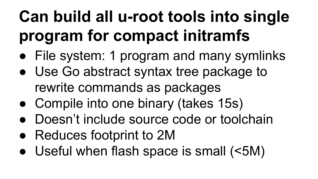# **Can build all u-root tools into single program for compact initramfs**

- File system: 1 program and many symlinks
- Use Go abstract syntax tree package to rewrite commands as packages
- Compile into one binary (takes 15s)
- Doesn't include source code or toolchain
- Reduces footprint to 2M
- Useful when flash space is small (<5M)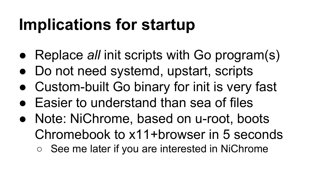### **Implications for startup**

- Replace *all* init scripts with Go program(s)
- Do not need systemd, upstart, scripts
- Custom-built Go binary for init is very fast
- Easier to understand than sea of files
- Note: NiChrome, based on u-root, boots Chromebook to x11+browser in 5 seconds
	- See me later if you are interested in NiChrome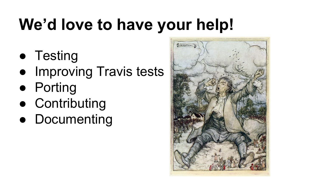# **We'd love to have your help!**

- Testing
- Improving Travis tests
- Porting
- Contributing
- Documenting

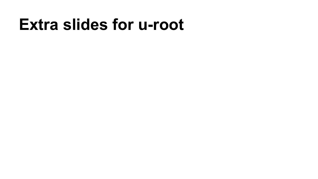### **Extra slides for u-root**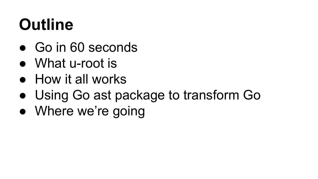## **Outline**

- Go in 60 seconds
- What u-root is
- How it all works
- Using Go ast package to transform Go
- Where we're going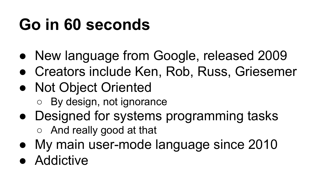### **Go in 60 seconds**

- New language from Google, released 2009
- Creators include Ken, Rob, Russ, Griesemer
- Not Object Oriented
	- By design, not ignorance
- Designed for systems programming tasks
	- And really good at that
- My main user-mode language since 2010
- Addictive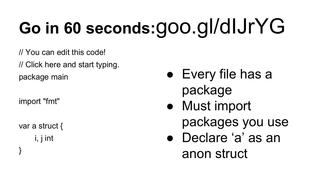# **Go in 60 seconds:**goo.gl/dIJrYG

// You can edit this code!

// Click here and start typing.

package main

import "fmt"

var a struct { i, j int

}

- Every file has a package
- Must import packages you use
- Declare 'a' as an anon struct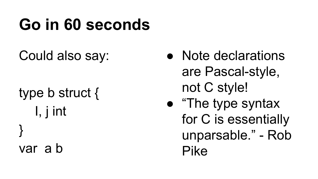### **Go in 60 seconds**

#### Could also say:

type b struct { I, j int } var a b

- Note declarations are Pascal-style, not C style!
- "The type syntax for C is essentially unparsable." - Rob Pike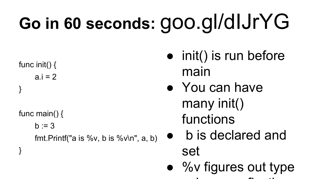# **Go in 60 seconds:** goo.gl/dIJrYG

func init()  $\{$  $a.i = 2$ 

}

}

func main() {

 $b := 3$ 

fmt.Printf("a is % $v$ , b is % $v \in V$ , a, b)

- init() is run before main
- You can have many init() functions
- b is declared and set
- %v figures out type using go reflection of the contract of the contract of the contract of the contract of the contract of the con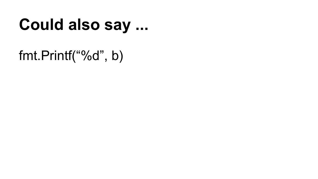### **Could also say ...**

fmt.Printf("%d", b)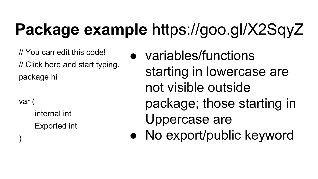### **Package example** https://goo.gl/X2SqyZ

// You can edit this code! // Click here and start typing. package hi

var (

)

internal int Exported int ● variables/functions starting in lowercase are not visible outside package; those starting in Uppercase are

• No export/public keyword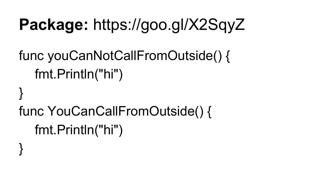### **Package:** https://goo.gl/X2SqyZ

### func youCanNotCallFromOutside() { fmt.Println("hi")

# func YouCanCallFromOutside() { fmt.Println("hi")

}

}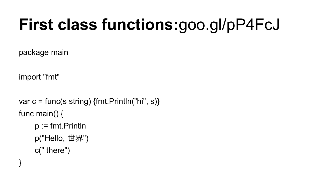## **First class functions:**goo.gl/pP4FcJ

package main

import "fmt"

```
var c = func(s string) {fmt. Println("hi", s)}
func main() {
     p := fmt. Println
     p("Hello, 世界")
     c(" there")
}
```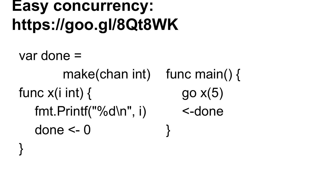```
Easy concurrency: 
https://goo.gl/8Qt8WK
```
}

```
var done = 
 make(chan int)
func main() {
func x(i \text{ int}) {
  fmt.Printf("%d\n", i)
   done \leq -0go x(5)<-done
                           }
```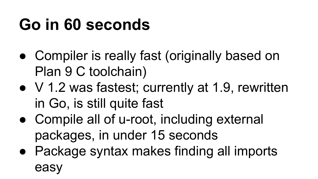### **Go in 60 seconds**

- Compiler is really fast (originally based on Plan 9 C toolchain)
- V 1.2 was fastest; currently at 1.9, rewritten in Go, is still quite fast
- Compile all of u-root, including external packages, in under 15 seconds
- Package syntax makes finding all imports easy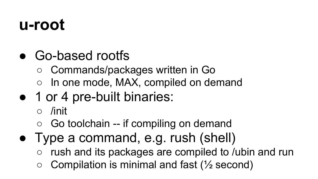### **u-root**

- Go-based rootfs
	- Commands/packages written in Go
	- In one mode, MAX, compiled on demand
- 1 or 4 pre-built binaries:
	- /init
	- $\circ$  Go toolchain -- if compiling on demand
- Type a command, e.g. rush (shell)
	- rush and its packages are compiled to /ubin and run
	- Compilation is minimal and fast  $(\frac{1}{2}$  second)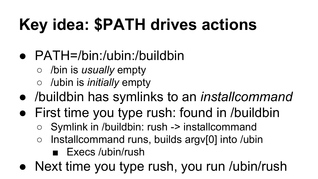# **Key idea: \$PATH drives actions**

#### ● PATH=/bin:/ubin:/buildbin

- /bin is *usually* empty
- /ubin is *initially* empty
- /buildbin has symlinks to an *installcommand*
- First time you type rush: found in /buildbin
	- Symlink in /buildbin: rush -> installcommand
	- Installcommand runs, builds argv[0] into /ubin
		- Execs /ubin/rush
- Next time you type rush, you run /ubin/rush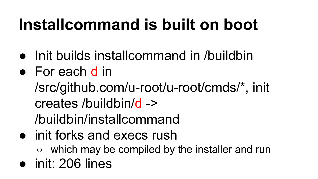## **Installcommand is built on boot**

- Init builds installcommand in /buildbin
- For each d in
	- /src/github.com/u-root/u-root/cmds/\*, init creates /buildbin/d ->

/buildbin/installcommand

- init forks and execs rush
	- which may be compiled by the installer and run
- init: 206 lines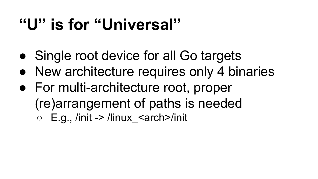### **"U" is for "Universal"**

- Single root device for all Go targets
- New architecture requires only 4 binaries
- For multi-architecture root, proper (re)arrangement of paths is needed  $\circ$  E.g., /init -> /linux <arch>/init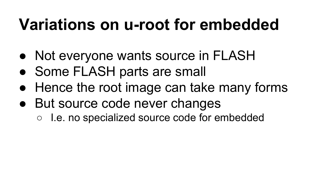### **Variations on u-root for embedded**

- Not everyone wants source in FLASH
- Some FLASH parts are small
- Hence the root image can take many forms
- But source code never changes
	- I.e. no specialized source code for embedded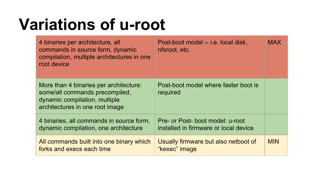### **Variations of u-root**

| 4 binaries per architecture, all<br>commands in source form, dynamic<br>compilation, multiple architectures in one<br>root device            | Post-boot model -- i.e. local disk,<br>nfsroot, etc.                      | <b>MAX</b> |
|----------------------------------------------------------------------------------------------------------------------------------------------|---------------------------------------------------------------------------|------------|
| More than 4 binaries per architecture:<br>some/all commands precompiled,<br>dynamic compilation, multiple<br>architectures in one root image | Post-boot model where faster boot is<br>required                          |            |
| 4 binaries, all commands in source form,<br>dynamic compilation, one architecture                                                            | Pre- or Post- boot model: u-root<br>installed in firmware or local device |            |
| All commands built into one binary which<br>forks and execs each time                                                                        | Usually firmware but also netboot of<br>"kexec" image                     | <b>MIN</b> |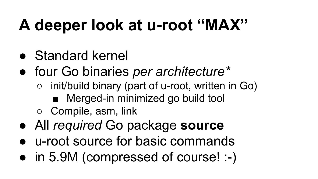## **A deeper look at u-root "MAX"**

- Standard kernel
- four Go binaries *per architecture\**
	- init/build binary (part of u-root, written in Go)
		- Merged-in minimized go build tool
	- Compile, asm, link
- All *required* Go package **source**
- u-root source for basic commands
- in 5.9M (compressed of course! :-)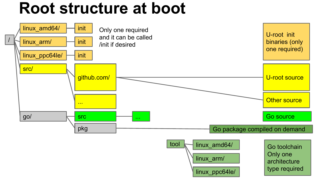### **Root structure at boot**

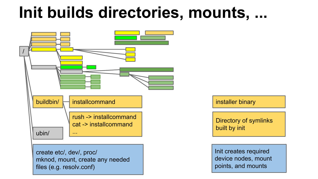### **Init builds directories, mounts, ...**



installer binary

Directory of symlinks built by init

Init creates required device nodes, mount points, and mounts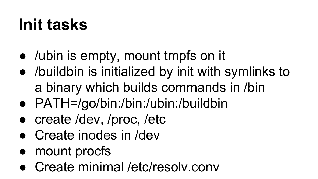### **Init tasks**

- /ubin is empty, mount tmpfs on it
- /buildbin is initialized by init with symlinks to a binary which builds commands in /bin
- PATH=/go/bin:/bin:/ubin:/buildbin
- create /dev, /proc, /etc
- Create inodes in /dev
- mount procfs
- Create minimal /etc/resolv.conv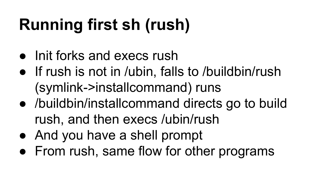# **Running first sh (rush)**

- Init forks and execs rush
- If rush is not in /ubin, falls to /buildbin/rush (symlink->installcommand) runs
- /buildbin/installcommand directs go to build rush, and then execs /ubin/rush
- And you have a shell prompt
- From rush, same flow for other programs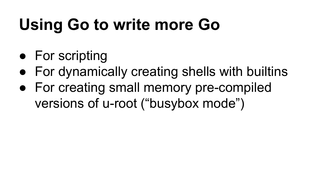# **Using Go to write more Go**

- For scripting
- For dynamically creating shells with builtins
- For creating small memory pre-compiled versions of u-root ("busybox mode")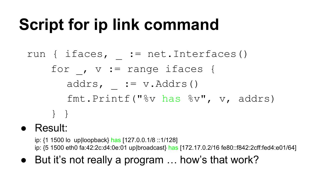### **Script for ip link command**

- run { ifaces, := net.Interfaces() for ,  $v := range$  ifaces { addrs,  $:= v$ . Addrs() fmt.Printf("%v has %v", v, addrs) } }
- Result:

ip: {1 1500 lo up|loopback} has [127.0.0.1/8 ::1/128] ip: {5 1500 eth0 fa:42:2c:d4:0e:01 up|broadcast} has [172.17.0.2/16 fe80::f842:2cff:fed4:e01/64]

● But it's not really a program ... how's that work?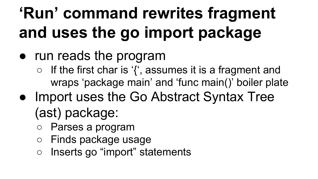# **'Run' command rewrites fragment and uses the go import package**

- run reads the program
	- If the first char is '{', assumes it is a fragment and wraps 'package main' and 'func main()' boiler plate
- Import uses the Go Abstract Syntax Tree (ast) package:
	- Parses a program
	- Finds package usage
	- Inserts go "import" statements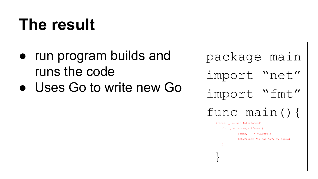### **The result**

- run program builds and runs the code
- Uses Go to write new Go

package main import "net" import "fmt" func main(){ ifaces, := net.Interfaces() for \_, v := range ifaces { addrs,  $:= v$ . Addrs() fmt.Printf("%v has %v", v, addrs)  $\sim$   $\rightarrow$   $\rightarrow$ }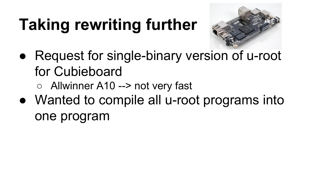# **Taking rewriting further**



- Request for single-binary version of u-root for Cubieboard
	- Allwinner A10 --> not very fast
- Wanted to compile all u-root programs into one program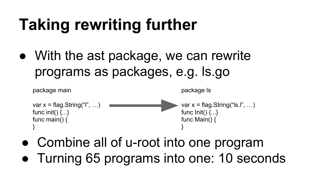# **Taking rewriting further**

• With the ast package, we can rewrite programs as packages, e.g. ls.go



- Combine all of u-root into one program
- Turning 65 programs into one: 10 seconds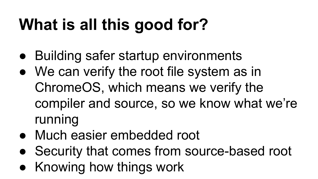# **What is all this good for?**

- Building safer startup environments
- We can verify the root file system as in ChromeOS, which means we verify the compiler and source, so we know what we're running
- Much easier embedded root
- Security that comes from source-based root
- Knowing how things work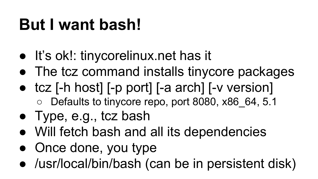### **But I want bash!**

- It's ok!: tinycorelinux.net has it
- The tcz command installs tinycore packages
- tcz [-h host] [-p port] [-a arch] [-v version] ○ Defaults to tinycore repo, port 8080, x86 64, 5.1
- Type, e.g., tcz bash
- Will fetch bash and all its dependencies
- Once done, you type
- /usr/local/bin/bash (can be in persistent disk)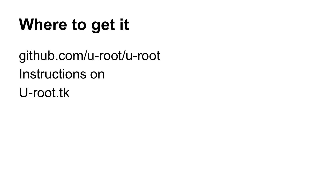## **Where to get it**

github.com/u-root/u-root Instructions on U-root.tk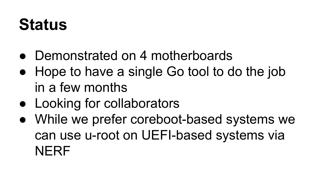### **Status**

- Demonstrated on 4 motherboards
- Hope to have a single Go tool to do the job in a few months
- Looking for collaborators
- While we prefer coreboot-based systems we can use u-root on UEFI-based systems via **NERF**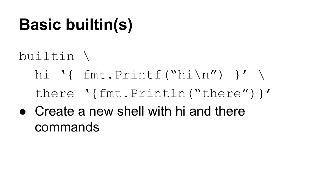## **Basic builtin(s)**

builtin \

- hi '{ fmt.Printf("hi\n") }' \ there '{fmt.Println("there")}'
- $\bullet$  Create a new shell with hi and there commands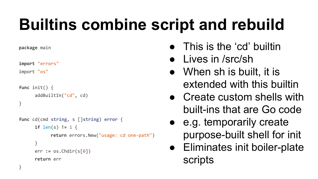### **Builtins combine script and rebuild**

**package** main

**import** "errors"

import "os"

```
func init() {
      addBuiltIn("cd", cd)
}
```

```
func cd(cmd string, s []string) error {
      if len(s) != 1 {
            return errors.New("usage: cd one-path")
      }
      err := os.Chdir(s[0])
      return err
}
```
- This is the 'cd' builtin
- Lives in /src/sh
- When sh is built, it is extended with this builtin
- Create custom shells with built-ins that are Go code
- e.g. temporarily create purpose-built shell for init
- Eliminates init boiler-plate scripts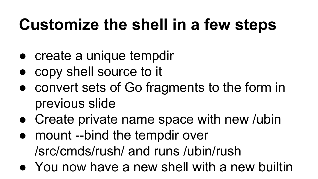## **Customize the shell in a few steps**

- create a unique tempdir
- copy shell source to it
- convert sets of Go fragments to the form in previous slide
- Create private name space with new /ubin
- mount --bind the tempdir over /src/cmds/rush/ and runs /ubin/rush
- You now have a new shell with a new builtin